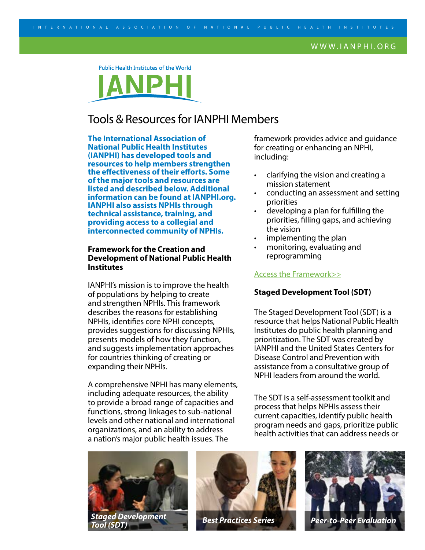#### WWW.IANPHI.ORG

Public Health Institutes of the World

# Tools & Resources for IANPHI Members

**The International Association of National Public Health Institutes (IANPHI) has developed tools and resources to help members strengthen the effectiveness of their efforts. Some of the major tools and resources are listed and described below. Additional information can be found at IANPHI.org. IANPHI also assists NPHIs through technical assistance, training, and providing access to a collegial and interconnected community of NPHIs.**

## **Framework for the Creation and Development of National Public Health Institutes**

IANPHI's mission is to improve the health of populations by helping to create and strengthen NPHIs. This framework describes the reasons for establishing NPHIs, identifies core NPHI concepts, provides suggestions for discussing NPHIs, presents models of how they function, and suggests implementation approaches for countries thinking of creating or expanding their NPHIs.

A comprehensive NPHI has many elements, including adequate resources, the ability to provide a broad range of capacities and functions, strong linkages to sub-national levels and other national and international organizations, and an ability to address a nation's major public health issues. The

framework provides advice and guidance for creating or enhancing an NPHI, including:

- clarifying the vision and creating a mission statement
- conducting an assessment and setting priorities
- developing a plan for fulfilling the priorities, filling gaps, and achieving the vision
- implementing the plan
- monitoring, evaluating and reprogramming

#### [Access the Framework>>](http://www.ianphi.org/resources/publications/framework.html)

#### **Staged Development Tool (SDT)**

The Staged Development Tool (SDT) is a resource that helps National Public Health Institutes do public health planning and prioritization. The SDT was created by IANPHI and the United States Centers for Disease Control and Prevention with assistance from a consultative group of NPHI leaders from around the world.

The SDT is a self-assessment toolkit and process that helps NPHIs assess their current capacities, identify public health program needs and gaps, prioritize public health activities that can address needs or